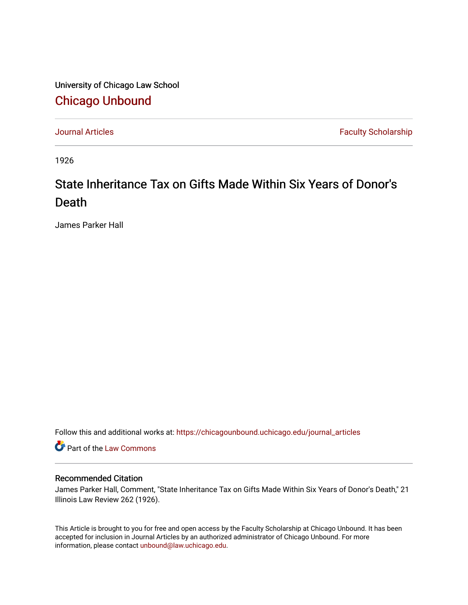University of Chicago Law School [Chicago Unbound](https://chicagounbound.uchicago.edu/)

[Journal Articles](https://chicagounbound.uchicago.edu/journal_articles) **Faculty Scholarship Faculty Scholarship** 

1926

## State Inheritance Tax on Gifts Made Within Six Years of Donor's Death

James Parker Hall

Follow this and additional works at: [https://chicagounbound.uchicago.edu/journal\\_articles](https://chicagounbound.uchicago.edu/journal_articles?utm_source=chicagounbound.uchicago.edu%2Fjournal_articles%2F9397&utm_medium=PDF&utm_campaign=PDFCoverPages) 

**C** Part of the [Law Commons](http://network.bepress.com/hgg/discipline/578?utm_source=chicagounbound.uchicago.edu%2Fjournal_articles%2F9397&utm_medium=PDF&utm_campaign=PDFCoverPages)

## Recommended Citation

James Parker Hall, Comment, "State Inheritance Tax on Gifts Made Within Six Years of Donor's Death," 21 Illinois Law Review 262 (1926).

This Article is brought to you for free and open access by the Faculty Scholarship at Chicago Unbound. It has been accepted for inclusion in Journal Articles by an authorized administrator of Chicago Unbound. For more information, please contact [unbound@law.uchicago.edu](mailto:unbound@law.uchicago.edu).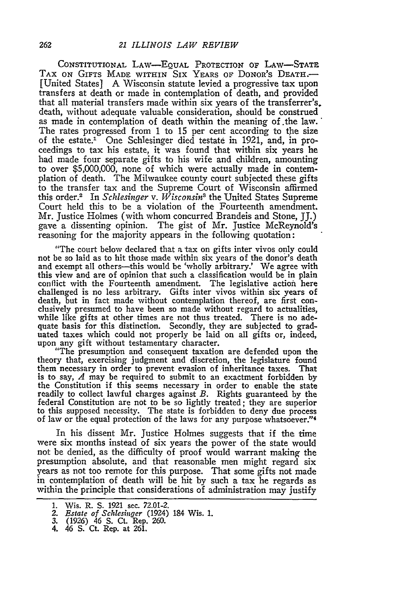**CONSTITUTIONAL** LAW-EQUAL PROTECTION **OF** LAW-STATE TAX ON GIFTS **MADE** WITHIN SIX YEARS OF DONOR'S **DEATH.-** [United States] A Wisconsin statute levied a progressive tax upon transfers at death or made in contemplation of death, and provided that all material transfers made within six years of the transferrer's. death, without adequate valuable consideration, should be construed as made in contemplation of death within the meaning of .the law. The rates progressed from 1 to 15 per cent according to the size of the estate.' One Schlesinger died testate in 1921, and, in proceedings to tax his estate, it was found that within six years he had made four separate gifts to his wife and children, amounting to over \$5,000,000, none of which were actually made in contemplation of death. The Milwaukee county court subjected these gifts to the transfer tax and the Supreme Court of Wisconsin affirmed this order.2 In *Schlesinger v. Wisconsin3* the United States Supreme Court held this to be a violation of the Fourteenth amendment. Mr. Justice Holmes (with whom concurred Brandeis and Stone, JJ.) gave a dissenting opinion. The gist of Mr. Justice McReynold's reasoning for the majority appears in the following quotation:

"The court below declared that a tax on gifts inter vivos only could not be so laid as to hit those made within six years of the donor's death and exempt all others-this would be 'wholly arbitrary.' We agree with this view and are of opinion that such a classification would be in plain conflict with the Fourteenth amendment. The legislative action here challenged is no less arbitrary. Gifts inter vivos within six years of death, but in fact made without contemplation thereof, are first conclusively presumed to have been so made without regard to actualities, while like gifts at other times are not thus treated. There is no adequate basis for this distinction. Secondly, they are subjected to grad- uated taxes which could not properly be laid on all gifts or, indeed, upon any gift without testamentary character.

"The presumption and consequent taxation are defended upon the theory that, exercising judgment and discretion, the legislature found them necessary in order to prevent evasion of inheritance taxes. That is to say, *A* may be required to submit to an exactment forbidden by the Constitution if this seems necessary in order to enable the state readily to collect lawful charges against *B.* Rights guaranteed by the federal Constitution are not to be so lightly treated; they are superior to this supposed necessity. The state is forbidden to deny due process of law or the equal protection of the laws for any purpose whatsoever."<sup>4</sup>

In his dissent Mr. Justice Holmes suggests that if the time were six months instead of six years the power of the state would not be denied, as the difficulty of proof would warrant making the presumption absolute, and that reasonable men might regard six years as not too remote for this purpose. That some gifts not made in contemplation of death will be hit by such a tax he regards as within the principle that considerations of administration may justify

<sup>1.</sup> Wis. R. S. 1921 sec. 72.01-2.

*<sup>2.</sup> Estate of Schlesinger* (1924) 184 Wis. **1.**

*<sup>3.</sup>* (1926) 46 S. Ct. Rep. 260. 4. 46 S. Ct. Rep. at 261.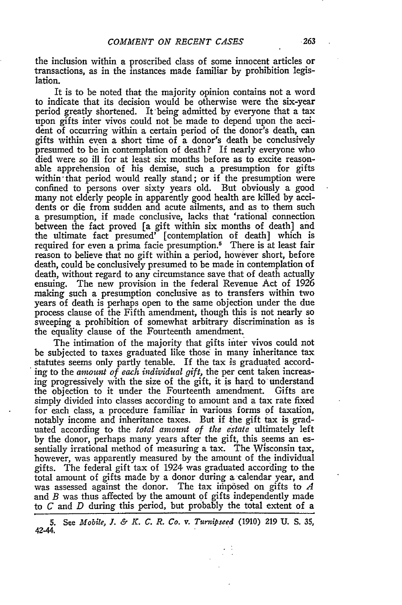the inclusion within a proscribed class of some innocent articles or transactions, as in the instances made familiar by prohibition legislation.

It is to be noted that the majority opinion contains not a word to indicate that its decision would be otherwise were the six-year period greatly shortened. It-being admitted by everyone that a tax upon gifts inter vivos could not be made to depend upon the accident of occurring within a certain period of the donor's death, can gifts within even a short time of a donor's death be conclusively presumed to be in contemplation of death? If nearly everyone who died were so ill for at least six months before as to excite reasonable apprehension of his demise, such a presumption for gifts within<sup>-that</sup> period would really stand; or if the presumption were confined to persons over sixty years old. But obviously a good many not elderly people in apparently good health are killed by accidents or die from sudden and acute ailments, and as to them such a presumption, if made conclusive, lacks that 'rational connection betveen the fact proved [a gift within six months of death] and the ultimate fact presumed' [contemplation of death] which is required for even a prima facie presumption.<sup>5</sup> There is at least fair reason to believe that no gift within a period, however short, before death, could be conclusively presumed to be made in contemplation of death, without regard to any circumstance save that of death actually ensuing. The new provision in the federal Revenue Act of 1926 making such a presumption conclusive as to transfers within two years of death is perhaps open to the same objection under the due process clause of the Fifth amendment, though this is not nearly so sweeping a prohibition of somewhat arbitrary discrimination as is the equality clause of the Fourteenth amendment.

The intimation of the majority that gifts inter vivos could not be subjected to taxes graduated like those in many inheritance tax statutes seems only partly tenable. If the tax is graduated according to the *amount of each individual gift*, the per cent taken increasing progressively with the size of the gift, it is hard to understand the objection to it under the Fourteenth amendment. Gifts are simply divided into classes according to amount and a tax rate fixed for each class, a procedure familiar in various forms of taxation, notably income and inheritance taxes. But if the gift tax is graduated according to the *total amount of the estate* ultimately left by the donor, perhaps many years after the gift, this seems an essentially irrational method of measuring a tax. The Wisconsin tax, however, was apparently measured by the amount of the individual gifts. The federal gift tax of 1924 was graduated according to the total amount of gifts made by a donor during a calendar year, and was assessed against the donor. The tax imposed on gifts to A and *B* was thus affected by the amount of gifts independently made to *C* and *D* during this period, but probably the total extent of a

**<sup>5.</sup>** See *Mobile, J. & K. C. R. Co. v. Turnipseed* (1910) **219** U. **S.** *35,* 4244.